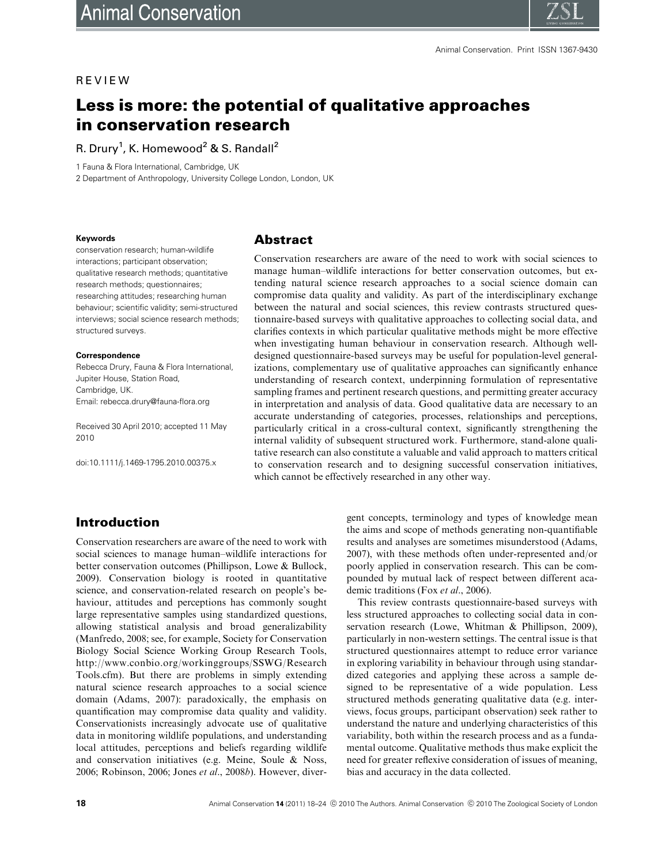

#### REVIEW

# Less is more: the potential of qualitative approaches in conservation research

R. Drury<sup>1</sup>, K. Homewood $^2$  & S. Randall $^2$ 

1 Fauna & Flora International, Cambridge, UK 2 Department of Anthropology, University College London, London, UK

#### **Keywords**

conservation research; human-wildlife interactions; participant observation; qualitative research methods; quantitative research methods; questionnaires; researching attitudes; researching human behaviour; scientific validity; semi-structured interviews; social science research methods; structured surveys.

#### **Correspondence**

Rebecca Drury, Fauna & Flora International, Jupiter House, Station Road, Cambridge, UK. Email: [rebecca.drury@fauna-flora.org](mailto:rebecca.drury@fauna-flora.org)

Received 30 April 2010; accepted 11 May 2010

doi:10.1111/j.1469-1795.2010.00375.x

## **Abstract**

Conservation researchers are aware of the need to work with social sciences to manage human–wildlife interactions for better conservation outcomes, but extending natural science research approaches to a social science domain can compromise data quality and validity. As part of the interdisciplinary exchange between the natural and social sciences, this review contrasts structured questionnaire-based surveys with qualitative approaches to collecting social data, and clarifies contexts in which particular qualitative methods might be more effective when investigating human behaviour in conservation research. Although welldesigned questionnaire-based surveys may be useful for population-level generalizations, complementary use of qualitative approaches can significantly enhance understanding of research context, underpinning formulation of representative sampling frames and pertinent research questions, and permitting greater accuracy in interpretation and analysis of data. Good qualitative data are necessary to an accurate understanding of categories, processes, relationships and perceptions, particularly critical in a cross-cultural context, significantly strengthening the internal validity of subsequent structured work. Furthermore, stand-alone qualitative research can also constitute a valuable and valid approach to matters critical to conservation research and to designing successful conservation initiatives, which cannot be effectively researched in any other way.

# Introduction

Conservation researchers are aware of the need to work with social sciences to manage human–wildlife interactions for better conservation outcomes (Phillipson, Lowe & Bullock, 2009). Conservation biology is rooted in quantitative science, and conservation-related research on people's behaviour, attitudes and perceptions has commonly sought large representative samples using standardized questions, allowing statistical analysis and broad generalizability (Manfredo, 2008; see, for example, Society for Conservation Biology Social Science Working Group Research Tools, [http://www.conbio.org/workinggroups/SSWG/Research](http://www.conbio.org/workinggroups/SSWG/ResTools.cfm) [Tools.cfm](http://www.conbio.org/workinggroups/SSWG/ResTools.cfm)). But there are problems in simply extending natural science research approaches to a social science domain (Adams, 2007): paradoxically, the emphasis on quantification may compromise data quality and validity. Conservationists increasingly advocate use of qualitative data in monitoring wildlife populations, and understanding local attitudes, perceptions and beliefs regarding wildlife and conservation initiatives (e.g. Meine, Soule & Noss, 2006; Robinson, 2006; Jones et al., 2008b). However, divergent concepts, terminology and types of knowledge mean the aims and scope of methods generating non-quantifiable results and analyses are sometimes misunderstood (Adams, 2007), with these methods often under-represented and/or poorly applied in conservation research. This can be compounded by mutual lack of respect between different academic traditions (Fox et al., 2006).

This review contrasts questionnaire-based surveys with less structured approaches to collecting social data in conservation research (Lowe, Whitman & Phillipson, 2009), particularly in non-western settings. The central issue is that structured questionnaires attempt to reduce error variance in exploring variability in behaviour through using standardized categories and applying these across a sample designed to be representative of a wide population. Less structured methods generating qualitative data (e.g. interviews, focus groups, participant observation) seek rather to understand the nature and underlying characteristics of this variability, both within the research process and as a fundamental outcome. Qualitative methods thus make explicit the need for greater reflexive consideration of issues of meaning, bias and accuracy in the data collected.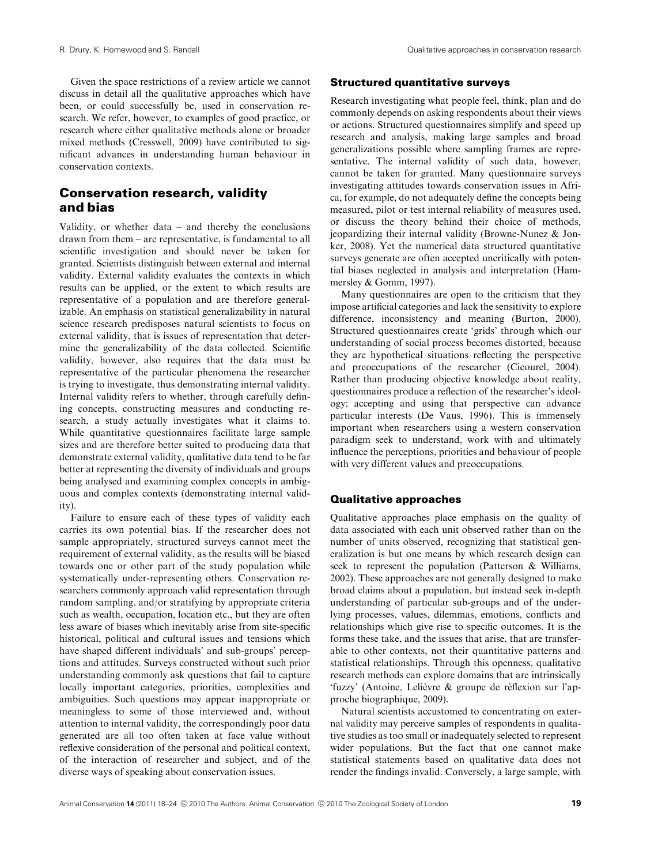Given the space restrictions of a review article we cannot discuss in detail all the qualitative approaches which have been, or could successfully be, used in conservation research. We refer, however, to examples of good practice, or research where either qualitative methods alone or broader mixed methods (Cresswell, 2009) have contributed to significant advances in understanding human behaviour in conservation contexts.

# Conservation research, validity and bias

Validity, or whether data – and thereby the conclusions drawn from them – are representative, is fundamental to all scientific investigation and should never be taken for granted. Scientists distinguish between external and internal validity. External validity evaluates the contexts in which results can be applied, or the extent to which results are representative of a population and are therefore generalizable. An emphasis on statistical generalizability in natural science research predisposes natural scientists to focus on external validity, that is issues of representation that determine the generalizability of the data collected. Scientific validity, however, also requires that the data must be representative of the particular phenomena the researcher is trying to investigate, thus demonstrating internal validity. Internal validity refers to whether, through carefully defining concepts, constructing measures and conducting research, a study actually investigates what it claims to. While quantitative questionnaires facilitate large sample sizes and are therefore better suited to producing data that demonstrate external validity, qualitative data tend to be far better at representing the diversity of individuals and groups being analysed and examining complex concepts in ambiguous and complex contexts (demonstrating internal validity).

Failure to ensure each of these types of validity each carries its own potential bias. If the researcher does not sample appropriately, structured surveys cannot meet the requirement of external validity, as the results will be biased towards one or other part of the study population while systematically under-representing others. Conservation researchers commonly approach valid representation through random sampling, and/or stratifying by appropriate criteria such as wealth, occupation, location etc., but they are often less aware of biases which inevitably arise from site-specific historical, political and cultural issues and tensions which have shaped different individuals' and sub-groups' perceptions and attitudes. Surveys constructed without such prior understanding commonly ask questions that fail to capture locally important categories, priorities, complexities and ambiguities. Such questions may appear inappropriate or meaningless to some of those interviewed and, without attention to internal validity, the correspondingly poor data generated are all too often taken at face value without reflexive consideration of the personal and political context, of the interaction of researcher and subject, and of the diverse ways of speaking about conservation issues.

#### Structured quantitative surveys

Research investigating what people feel, think, plan and do commonly depends on asking respondents about their views or actions. Structured questionnaires simplify and speed up research and analysis, making large samples and broad generalizations possible where sampling frames are representative. The internal validity of such data, however, cannot be taken for granted. Many questionnaire surveys investigating attitudes towards conservation issues in Africa, for example, do not adequately define the concepts being measured, pilot or test internal reliability of measures used, or discuss the theory behind their choice of methods, jeopardizing their internal validity (Browne-Nunez & Jonker, 2008). Yet the numerical data structured quantitative surveys generate are often accepted uncritically with potential biases neglected in analysis and interpretation (Hammersley & Gomm, 1997).

Many questionnaires are open to the criticism that they impose artificial categories and lack the sensitivity to explore difference, inconsistency and meaning (Burton, 2000). Structured questionnaires create 'grids' through which our understanding of social process becomes distorted, because they are hypothetical situations reflecting the perspective and preoccupations of the researcher (Cicourel, 2004). Rather than producing objective knowledge about reality, questionnaires produce a reflection of the researcher's ideology; accepting and using that perspective can advance particular interests (De Vaus, 1996). This is immensely important when researchers using a western conservation paradigm seek to understand, work with and ultimately influence the perceptions, priorities and behaviour of people with very different values and preoccupations.

#### Qualitative approaches

Qualitative approaches place emphasis on the quality of data associated with each unit observed rather than on the number of units observed, recognizing that statistical generalization is but one means by which research design can seek to represent the population (Patterson & Williams, 2002). These approaches are not generally designed to make broad claims about a population, but instead seek in-depth understanding of particular sub-groups and of the underlying processes, values, dilemmas, emotions, conflicts and relationships which give rise to specific outcomes. It is the forms these take, and the issues that arise, that are transferable to other contexts, not their quantitative patterns and statistical relationships. Through this openness, qualitative research methods can explore domains that are intrinsically 'fuzzy' (Antoine, Lelièvre & groupe de réflexion sur l'approche biographique, 2009).

Natural scientists accustomed to concentrating on external validity may perceive samples of respondents in qualitative studies as too small or inadequately selected to represent wider populations. But the fact that one cannot make statistical statements based on qualitative data does not render the findings invalid. Conversely, a large sample, with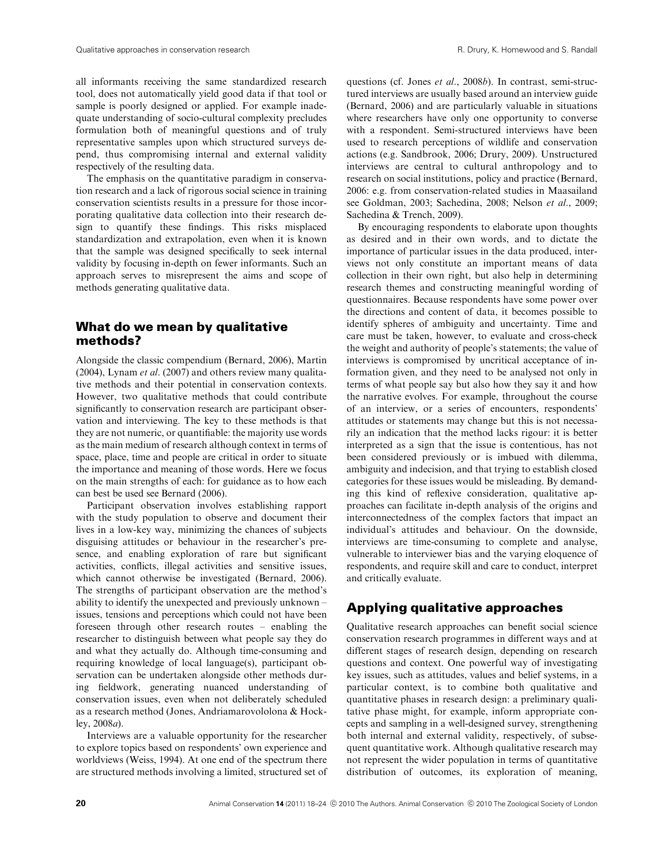all informants receiving the same standardized research tool, does not automatically yield good data if that tool or sample is poorly designed or applied. For example inadequate understanding of socio-cultural complexity precludes formulation both of meaningful questions and of truly representative samples upon which structured surveys depend, thus compromising internal and external validity respectively of the resulting data.

The emphasis on the quantitative paradigm in conservation research and a lack of rigorous social science in training conservation scientists results in a pressure for those incorporating qualitative data collection into their research design to quantify these findings. This risks misplaced standardization and extrapolation, even when it is known that the sample was designed specifically to seek internal validity by focusing in-depth on fewer informants. Such an approach serves to misrepresent the aims and scope of methods generating qualitative data.

# What do we mean by qualitative methods?

Alongside the classic compendium (Bernard, 2006), Martin (2004), Lynam et al. (2007) and others review many qualitative methods and their potential in conservation contexts. However, two qualitative methods that could contribute significantly to conservation research are participant observation and interviewing. The key to these methods is that they are not numeric, or quantifiable: the majority use words as the main medium of research although context in terms of space, place, time and people are critical in order to situate the importance and meaning of those words. Here we focus on the main strengths of each: for guidance as to how each can best be used see Bernard (2006).

Participant observation involves establishing rapport with the study population to observe and document their lives in a low-key way, minimizing the chances of subjects disguising attitudes or behaviour in the researcher's presence, and enabling exploration of rare but significant activities, conflicts, illegal activities and sensitive issues, which cannot otherwise be investigated (Bernard, 2006). The strengths of participant observation are the method's ability to identify the unexpected and previously unknown – issues, tensions and perceptions which could not have been foreseen through other research routes – enabling the researcher to distinguish between what people say they do and what they actually do. Although time-consuming and requiring knowledge of local language(s), participant observation can be undertaken alongside other methods during fieldwork, generating nuanced understanding of conservation issues, even when not deliberately scheduled as a research method (Jones, Andriamarovololona & Hockley,  $2008a$ ).

Interviews are a valuable opportunity for the researcher to explore topics based on respondents' own experience and worldviews (Weiss, 1994). At one end of the spectrum there are structured methods involving a limited, structured set of questions (cf. Jones et al., 2008b). In contrast, semi-structured interviews are usually based around an interview guide (Bernard, 2006) and are particularly valuable in situations where researchers have only one opportunity to converse with a respondent. Semi-structured interviews have been used to research perceptions of wildlife and conservation actions (e.g. Sandbrook, 2006; Drury, 2009). Unstructured interviews are central to cultural anthropology and to research on social institutions, policy and practice (Bernard, 2006: e.g. from conservation-related studies in Maasailand see Goldman, 2003; Sachedina, 2008; Nelson et al., 2009; Sachedina & Trench, 2009).

By encouraging respondents to elaborate upon thoughts as desired and in their own words, and to dictate the importance of particular issues in the data produced, interviews not only constitute an important means of data collection in their own right, but also help in determining research themes and constructing meaningful wording of questionnaires. Because respondents have some power over the directions and content of data, it becomes possible to identify spheres of ambiguity and uncertainty. Time and care must be taken, however, to evaluate and cross-check the weight and authority of people's statements; the value of interviews is compromised by uncritical acceptance of information given, and they need to be analysed not only in terms of what people say but also how they say it and how the narrative evolves. For example, throughout the course of an interview, or a series of encounters, respondents' attitudes or statements may change but this is not necessarily an indication that the method lacks rigour: it is better interpreted as a sign that the issue is contentious, has not been considered previously or is imbued with dilemma, ambiguity and indecision, and that trying to establish closed categories for these issues would be misleading. By demanding this kind of reflexive consideration, qualitative approaches can facilitate in-depth analysis of the origins and interconnectedness of the complex factors that impact an individual's attitudes and behaviour. On the downside, interviews are time-consuming to complete and analyse, vulnerable to interviewer bias and the varying eloquence of respondents, and require skill and care to conduct, interpret and critically evaluate.

# Applying qualitative approaches

Qualitative research approaches can benefit social science conservation research programmes in different ways and at different stages of research design, depending on research questions and context. One powerful way of investigating key issues, such as attitudes, values and belief systems, in a particular context, is to combine both qualitative and quantitative phases in research design: a preliminary qualitative phase might, for example, inform appropriate concepts and sampling in a well-designed survey, strengthening both internal and external validity, respectively, of subsequent quantitative work. Although qualitative research may not represent the wider population in terms of quantitative distribution of outcomes, its exploration of meaning,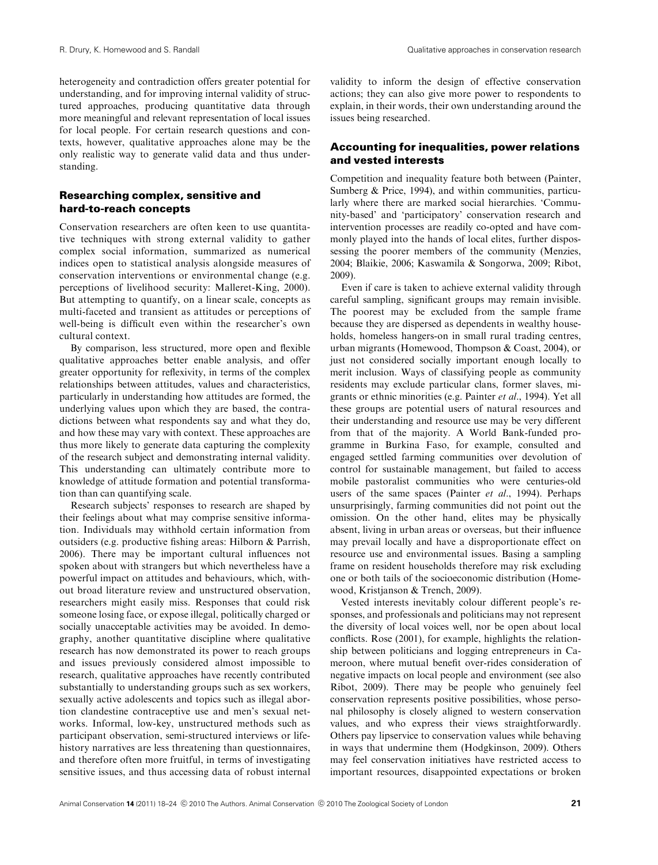heterogeneity and contradiction offers greater potential for understanding, and for improving internal validity of structured approaches, producing quantitative data through more meaningful and relevant representation of local issues for local people. For certain research questions and contexts, however, qualitative approaches alone may be the only realistic way to generate valid data and thus understanding.

### Researching complex, sensitive and hard-to-reach concepts

Conservation researchers are often keen to use quantitative techniques with strong external validity to gather complex social information, summarized as numerical indices open to statistical analysis alongside measures of conservation interventions or environmental change (e.g. perceptions of livelihood security: Malleret-King, 2000). But attempting to quantify, on a linear scale, concepts as multi-faceted and transient as attitudes or perceptions of well-being is difficult even within the researcher's own cultural context.

By comparison, less structured, more open and flexible qualitative approaches better enable analysis, and offer greater opportunity for reflexivity, in terms of the complex relationships between attitudes, values and characteristics, particularly in understanding how attitudes are formed, the underlying values upon which they are based, the contradictions between what respondents say and what they do, and how these may vary with context. These approaches are thus more likely to generate data capturing the complexity of the research subject and demonstrating internal validity. This understanding can ultimately contribute more to knowledge of attitude formation and potential transformation than can quantifying scale.

Research subjects' responses to research are shaped by their feelings about what may comprise sensitive information. Individuals may withhold certain information from outsiders (e.g. productive fishing areas: Hilborn & Parrish, 2006). There may be important cultural influences not spoken about with strangers but which nevertheless have a powerful impact on attitudes and behaviours, which, without broad literature review and unstructured observation, researchers might easily miss. Responses that could risk someone losing face, or expose illegal, politically charged or socially unacceptable activities may be avoided. In demography, another quantitative discipline where qualitative research has now demonstrated its power to reach groups and issues previously considered almost impossible to research, qualitative approaches have recently contributed substantially to understanding groups such as sex workers, sexually active adolescents and topics such as illegal abortion clandestine contraceptive use and men's sexual networks. Informal, low-key, unstructured methods such as participant observation, semi-structured interviews or lifehistory narratives are less threatening than questionnaires, and therefore often more fruitful, in terms of investigating sensitive issues, and thus accessing data of robust internal validity to inform the design of effective conservation actions; they can also give more power to respondents to explain, in their words, their own understanding around the issues being researched.

### Accounting for inequalities, power relations and vested interests

Competition and inequality feature both between (Painter, Sumberg & Price, 1994), and within communities, particularly where there are marked social hierarchies. 'Community-based' and 'participatory' conservation research and intervention processes are readily co-opted and have commonly played into the hands of local elites, further dispossessing the poorer members of the community (Menzies, 2004; Blaikie, 2006; Kaswamila & Songorwa, 2009; Ribot, 2009).

Even if care is taken to achieve external validity through careful sampling, significant groups may remain invisible. The poorest may be excluded from the sample frame because they are dispersed as dependents in wealthy households, homeless hangers-on in small rural trading centres, urban migrants (Homewood, Thompson & Coast, 2004), or just not considered socially important enough locally to merit inclusion. Ways of classifying people as community residents may exclude particular clans, former slaves, migrants or ethnic minorities (e.g. Painter et al., 1994). Yet all these groups are potential users of natural resources and their understanding and resource use may be very different from that of the majority. A World Bank-funded programme in Burkina Faso, for example, consulted and engaged settled farming communities over devolution of control for sustainable management, but failed to access mobile pastoralist communities who were centuries-old users of the same spaces (Painter et al., 1994). Perhaps unsurprisingly, farming communities did not point out the omission. On the other hand, elites may be physically absent, living in urban areas or overseas, but their influence may prevail locally and have a disproportionate effect on resource use and environmental issues. Basing a sampling frame on resident households therefore may risk excluding one or both tails of the socioeconomic distribution (Homewood, Kristjanson & Trench, 2009).

Vested interests inevitably colour different people's responses, and professionals and politicians may not represent the diversity of local voices well, nor be open about local conflicts. Rose (2001), for example, highlights the relationship between politicians and logging entrepreneurs in Cameroon, where mutual benefit over-rides consideration of negative impacts on local people and environment (see also Ribot, 2009). There may be people who genuinely feel conservation represents positive possibilities, whose personal philosophy is closely aligned to western conservation values, and who express their views straightforwardly. Others pay lipservice to conservation values while behaving in ways that undermine them (Hodgkinson, 2009). Others may feel conservation initiatives have restricted access to important resources, disappointed expectations or broken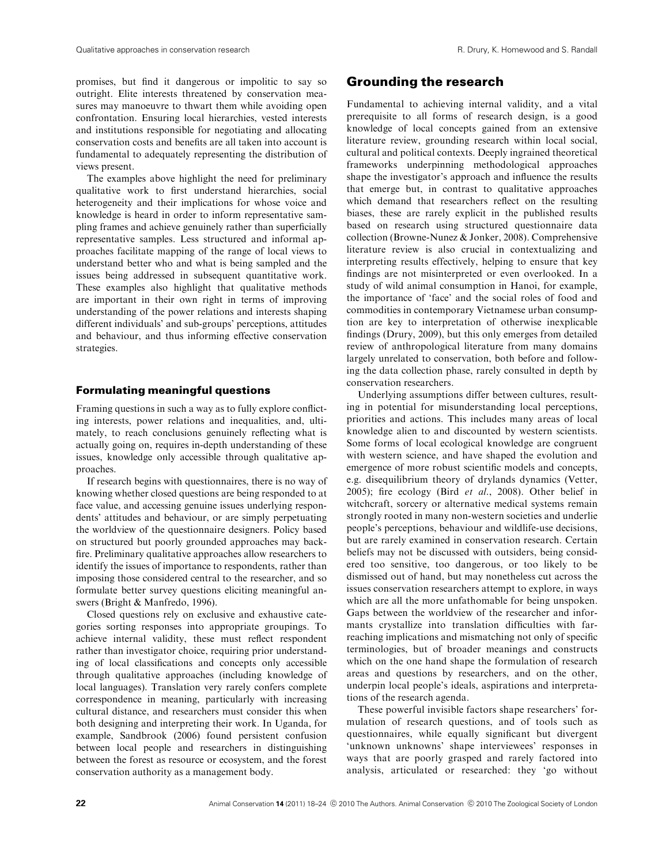promises, but find it dangerous or impolitic to say so outright. Elite interests threatened by conservation measures may manoeuvre to thwart them while avoiding open confrontation. Ensuring local hierarchies, vested interests and institutions responsible for negotiating and allocating conservation costs and benefits are all taken into account is fundamental to adequately representing the distribution of views present.

The examples above highlight the need for preliminary qualitative work to first understand hierarchies, social heterogeneity and their implications for whose voice and knowledge is heard in order to inform representative sampling frames and achieve genuinely rather than superficially representative samples. Less structured and informal approaches facilitate mapping of the range of local views to understand better who and what is being sampled and the issues being addressed in subsequent quantitative work. These examples also highlight that qualitative methods are important in their own right in terms of improving understanding of the power relations and interests shaping different individuals' and sub-groups' perceptions, attitudes and behaviour, and thus informing effective conservation strategies.

#### Formulating meaningful questions

Framing questions in such a way as to fully explore conflicting interests, power relations and inequalities, and, ultimately, to reach conclusions genuinely reflecting what is actually going on, requires in-depth understanding of these issues, knowledge only accessible through qualitative approaches.

If research begins with questionnaires, there is no way of knowing whether closed questions are being responded to at face value, and accessing genuine issues underlying respondents' attitudes and behaviour, or are simply perpetuating the worldview of the questionnaire designers. Policy based on structured but poorly grounded approaches may backfire. Preliminary qualitative approaches allow researchers to identify the issues of importance to respondents, rather than imposing those considered central to the researcher, and so formulate better survey questions eliciting meaningful answers (Bright & Manfredo, 1996).

Closed questions rely on exclusive and exhaustive categories sorting responses into appropriate groupings. To achieve internal validity, these must reflect respondent rather than investigator choice, requiring prior understanding of local classifications and concepts only accessible through qualitative approaches (including knowledge of local languages). Translation very rarely confers complete correspondence in meaning, particularly with increasing cultural distance, and researchers must consider this when both designing and interpreting their work. In Uganda, for example, Sandbrook (2006) found persistent confusion between local people and researchers in distinguishing between the forest as resource or ecosystem, and the forest conservation authority as a management body.

### Grounding the research

Fundamental to achieving internal validity, and a vital prerequisite to all forms of research design, is a good knowledge of local concepts gained from an extensive literature review, grounding research within local social, cultural and political contexts. Deeply ingrained theoretical frameworks underpinning methodological approaches shape the investigator's approach and influence the results that emerge but, in contrast to qualitative approaches which demand that researchers reflect on the resulting biases, these are rarely explicit in the published results based on research using structured questionnaire data collection (Browne-Nunez & Jonker, 2008). Comprehensive literature review is also crucial in contextualizing and interpreting results effectively, helping to ensure that key findings are not misinterpreted or even overlooked. In a study of wild animal consumption in Hanoi, for example, the importance of 'face' and the social roles of food and commodities in contemporary Vietnamese urban consumption are key to interpretation of otherwise inexplicable findings (Drury, 2009), but this only emerges from detailed review of anthropological literature from many domains largely unrelated to conservation, both before and following the data collection phase, rarely consulted in depth by conservation researchers.

Underlying assumptions differ between cultures, resulting in potential for misunderstanding local perceptions, priorities and actions. This includes many areas of local knowledge alien to and discounted by western scientists. Some forms of local ecological knowledge are congruent with western science, and have shaped the evolution and emergence of more robust scientific models and concepts, e.g. disequilibrium theory of drylands dynamics (Vetter, 2005); fire ecology (Bird et al., 2008). Other belief in witchcraft, sorcery or alternative medical systems remain strongly rooted in many non-western societies and underlie people's perceptions, behaviour and wildlife-use decisions, but are rarely examined in conservation research. Certain beliefs may not be discussed with outsiders, being considered too sensitive, too dangerous, or too likely to be dismissed out of hand, but may nonetheless cut across the issues conservation researchers attempt to explore, in ways which are all the more unfathomable for being unspoken. Gaps between the worldview of the researcher and informants crystallize into translation difficulties with farreaching implications and mismatching not only of specific terminologies, but of broader meanings and constructs which on the one hand shape the formulation of research areas and questions by researchers, and on the other, underpin local people's ideals, aspirations and interpretations of the research agenda.

These powerful invisible factors shape researchers' formulation of research questions, and of tools such as questionnaires, while equally significant but divergent 'unknown unknowns' shape interviewees' responses in ways that are poorly grasped and rarely factored into analysis, articulated or researched: they 'go without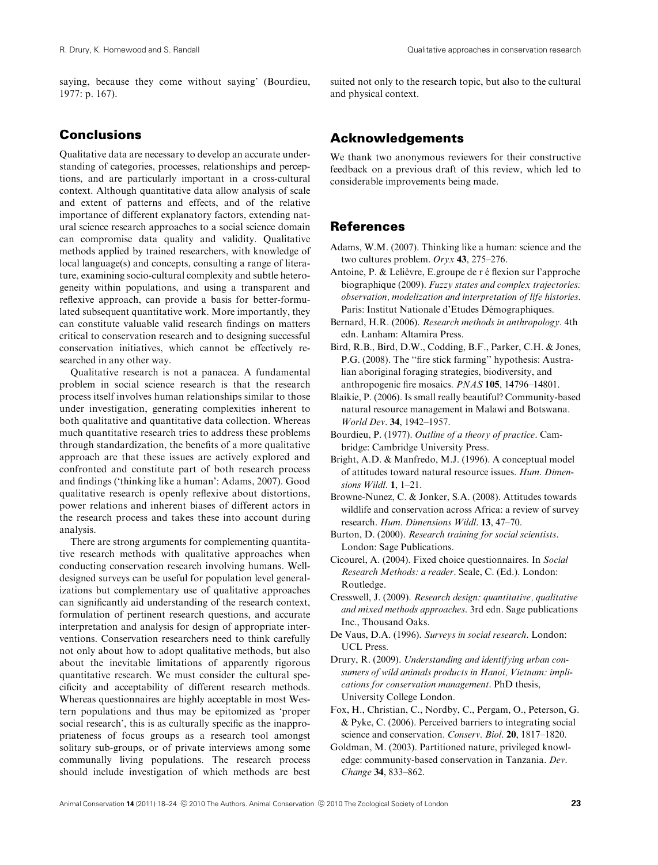saying, because they come without saying' (Bourdieu, 1977: p. 167).

# Conclusions

Qualitative data are necessary to develop an accurate understanding of categories, processes, relationships and perceptions, and are particularly important in a cross-cultural context. Although quantitative data allow analysis of scale and extent of patterns and effects, and of the relative importance of different explanatory factors, extending natural science research approaches to a social science domain can compromise data quality and validity. Qualitative methods applied by trained researchers, with knowledge of local language(s) and concepts, consulting a range of literature, examining socio-cultural complexity and subtle heterogeneity within populations, and using a transparent and reflexive approach, can provide a basis for better-formulated subsequent quantitative work. More importantly, they can constitute valuable valid research findings on matters critical to conservation research and to designing successful conservation initiatives, which cannot be effectively researched in any other way.

Qualitative research is not a panacea. A fundamental problem in social science research is that the research process itself involves human relationships similar to those under investigation, generating complexities inherent to both qualitative and quantitative data collection. Whereas much quantitative research tries to address these problems through standardization, the benefits of a more qualitative approach are that these issues are actively explored and confronted and constitute part of both research process and findings ('thinking like a human': Adams, 2007). Good qualitative research is openly reflexive about distortions, power relations and inherent biases of different actors in the research process and takes these into account during analysis.

There are strong arguments for complementing quantitative research methods with qualitative approaches when conducting conservation research involving humans. Welldesigned surveys can be useful for population level generalizations but complementary use of qualitative approaches can significantly aid understanding of the research context, formulation of pertinent research questions, and accurate interpretation and analysis for design of appropriate interventions. Conservation researchers need to think carefully not only about how to adopt qualitative methods, but also about the inevitable limitations of apparently rigorous quantitative research. We must consider the cultural specificity and acceptability of different research methods. Whereas questionnaires are highly acceptable in most Western populations and thus may be epitomized as 'proper social research', this is as culturally specific as the inappropriateness of focus groups as a research tool amongst solitary sub-groups, or of private interviews among some communally living populations. The research process should include investigation of which methods are best suited not only to the research topic, but also to the cultural and physical context.

# Acknowledgements

We thank two anonymous reviewers for their constructive feedback on a previous draft of this review, which led to considerable improvements being made.

### References

- Adams, W.M. (2007). Thinking like a human: science and the two cultures problem. Oryx 43, 275–276.
- Antoine, P. & Lelièvre, E.groupe de r é flexion sur l'approche biographique (2009). Fuzzy states and complex trajectories: observation, modelization and interpretation of life histories. Paris: Institut Nationale d'Etudes Démographiques.
- Bernard, H.R. (2006). Research methods in anthropology. 4th edn. Lanham: Altamira Press.
- Bird, R.B., Bird, D.W., Codding, B.F., Parker, C.H. & Jones, P.G. (2008). The ''fire stick farming'' hypothesis: Australian aboriginal foraging strategies, biodiversity, and anthropogenic fire mosaics. PNAS 105, 14796–14801.
- Blaikie, P. (2006). Is small really beautiful? Community-based natural resource management in Malawi and Botswana. World Dev. 34, 1942–1957.
- Bourdieu, P. (1977). Outline of a theory of practice. Cambridge: Cambridge University Press.
- Bright, A.D. & Manfredo, M.J. (1996). A conceptual model of attitudes toward natural resource issues. Hum. Dimensions Wildl. 1, 1–21.
- Browne-Nunez, C. & Jonker, S.A. (2008). Attitudes towards wildlife and conservation across Africa: a review of survey research. Hum. Dimensions Wildl. 13, 47–70.
- Burton, D. (2000). Research training for social scientists. London: Sage Publications.
- Cicourel, A. (2004). Fixed choice questionnaires. In Social Research Methods: a reader. Seale, C. (Ed.). London: Routledge.
- Cresswell, J. (2009). Research design: quantitative, qualitative and mixed methods approaches. 3rd edn. Sage publications Inc., Thousand Oaks.
- De Vaus, D.A. (1996). Surveys in social research. London: UCL Press.
- Drury, R. (2009). Understanding and identifying urban consumers of wild animals products in Hanoi, Vietnam: implications for conservation management. PhD thesis, University College London.
- Fox, H., Christian, C., Nordby, C., Pergam, O., Peterson, G. & Pyke, C. (2006). Perceived barriers to integrating social science and conservation. Conserv. Biol. 20, 1817–1820.
- Goldman, M. (2003). Partitioned nature, privileged knowledge: community-based conservation in Tanzania. Dev. Change 34, 833–862.